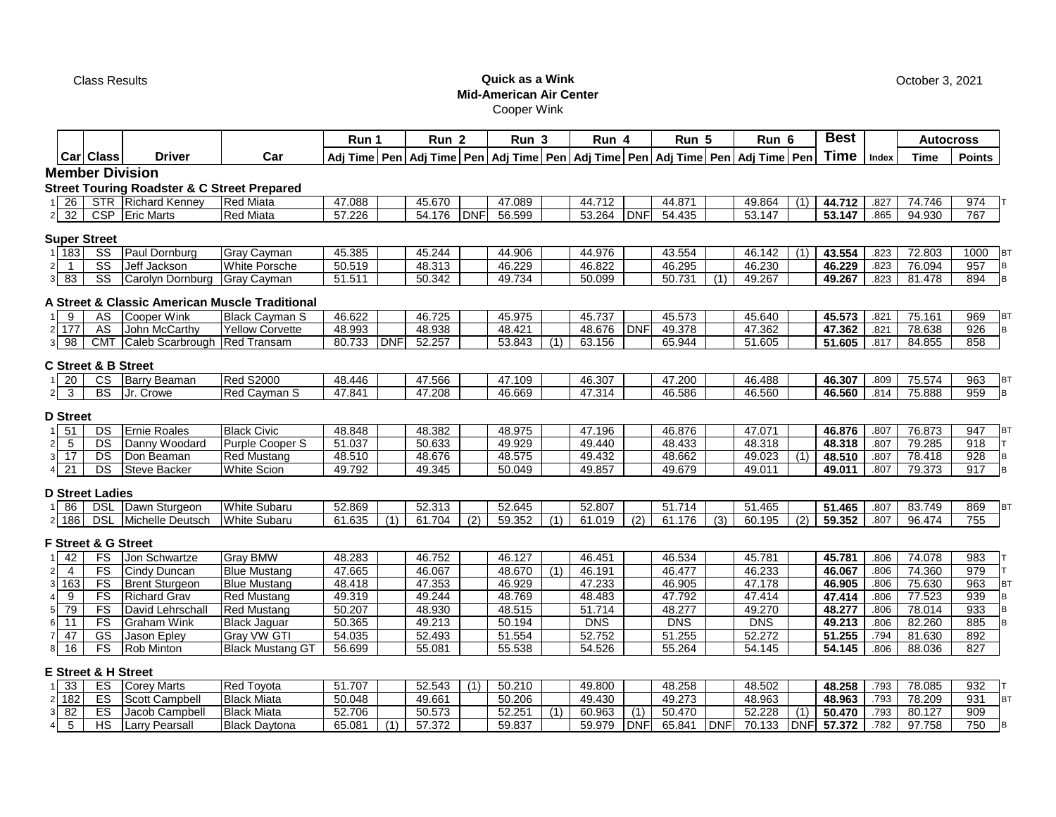# Class Results **Quick as a Wink Mid-American Air Center** Cooper Wink

**Run 1 Run 2 Run 3 Run 4 Run 5**

**Adj Time Pen Adj Time Pen Adj Time Pen Adj Time Pen Adj Time Pen Adj Time Pen Time Points Member Division Street Touring Roadster & C Street Prepared**<br>1 26 STR Richard Kenney Red Miata 1 26 | STR |Richard Kenney |Red Miata | 47.088 | 45.670 | 47.089 | 44.712 | 44.871 | 49.864 | (1) | **44.712** | .827 | 74.746 | 974 T 2 32 | CSP |Eric Marts |Red Miata | 57.226 | 54.176 |DNF | 56.599 | 53.264 |DNF | 54.435 | 53.147 | | **53.147** | .865 | 94.930 | 767 **Super Street** 1 183 SS Paul Dornburg Gray Cayman 45.385 45.244 44.906 44.976 43.554 46.142 (1) **43.554** .823 72.803 1000 BT 2 1 SS Jeff Jackson White Porsche 50.519 48.313 46.229 46.822 46.295 46.230 **46.229** .823 76.094 957 B 3 83 SS Carolyn Dornburg Gray Cayman 51.511 50.342 49.734 50.099 50.731 (1) 49.267 **49.267** .823 81.478 894 B **A Street & Classic American Muscle Traditional** 1 9 AS Cooper Wink Black Cayman S 46.622 46.725 45.975 45.737 45.573 45.640 **45.573** .821 75.161 969 BT 2 177 AS John McCarthy Yellow Corvette 48.993 48.938 48.421 48.676 DNF 49.378 47.362 **47.362** .821 78.638 926 B 3 98 CMT Caleb Scarbrough Red Transam 80.733 DNF 52.257 53.843 (1) 63.156 65.944 51.605 **51.605** .817 84.855 858 **C Street & B Street** 1 20 | CS |Barry Beaman |Red S2000 | 48.446 | | 47.566 | | 47.109 | | 46.307 | | 47.200 | | 46.488 | | **46.307** | .809 | 75.574 | 963 |BT 2 3 BS JJr. Crowe Red Cayman S | 47.841 | | 47.208 | | 46.669 | | 47.314 | | 46.586 | | 46.560 | | **46.560** | .814 | 75.888 | 959 |B **D Street** 1 51 | DS |Ernie Roales | Black Civic | 48.848 | | 48.382 | | 48.975 | | 47.196 | | 46.876 | | 47.071 | | **46.876** | .807 | 76.873 | 947 |BT **Index Time Car Class Driver Car**

# 2 5 | DS |Danny Woodard |Purple Cooper S | 51.037 | | 50.633 | | 49.929 | | 49.440 | | 48.433 | | 48.318 | | **48.318** | .807 | 79.285 | 918 |T 3 17 DS Don Beaman Red Mustang 48.510 48.676 48.575 49.432 48.662 49.023 (1) **48.510** .807 78.418 928 B 4 21 | DS |Steve Backer | White Scion | 49.792 | | 49.345 | | 50.049 | | 49.857 | | 49.679 | | 49.011 | | **49.011** | .807 | 79.373 | 917 |B

### **D Street Ladies**

| 86.   | DS | Sturaeor<br>$\sum_{i=1}^{n}$<br>∵≀awı. | White<br>Subaru | 52.869          | $F^{\alpha}$ $\alpha$<br>ن∟د.∠ن |                | . 2.7<br>52.645                          | 52.807 |     | - - - -<br>. . |     | $\sqrt{2}$<br>-465 |              | 51.465 | .807 | 83.749<br>00. I    | 869            |  |
|-------|----|----------------------------------------|-----------------|-----------------|---------------------------------|----------------|------------------------------------------|--------|-----|----------------|-----|--------------------|--------------|--------|------|--------------------|----------------|--|
| 2 186 | DS | .<br>Deutsch<br><b>Michelle</b>        | White<br>Subaru | $\sim$<br>ט ו.ט | 704<br>.                        | $\sim$<br>بے ا | $\sim$ $\sim$ $\sim$<br>ີ<br>59.<br>,,,, | 010    | (2) | n              | (3) | 10F<br>ົ<br>бθ.    | $\sim$<br>12 | 59.352 | .807 | 06.17 <sub>0</sub> | $7 - r$<br>755 |  |

#### **F Street & G Street**

| 42    | FS | <b>Jon Schwartze</b>  | <b>Grav BMW</b>         | 48.283 | 46.752 | 46.127 | 46.451     | 46.534 | 45.781 | 45.781 | .806 | 74.078 | 983 |  |
|-------|----|-----------------------|-------------------------|--------|--------|--------|------------|--------|--------|--------|------|--------|-----|--|
|       | FS | Cindy Duncan          | <b>Blue Mustang</b>     | 47.665 | 46.067 | 48.670 | 46.191     | 46.477 | 46.233 | 46.067 | .806 | 74.360 | 979 |  |
| 3 163 | FS | <b>Brent Sturgeon</b> | <b>Blue Mustang</b>     | 48.418 | 47.353 | 46.929 | 47.233     | 46.905 | 47.178 | 46.905 | .806 | 75.630 | 963 |  |
|       | FS | <b>Richard Grav</b>   | <b>Red Mustang</b>      | 49.319 | 49.244 | 48.769 | 48.483     | 47.792 | 47.414 | 47.414 | .806 | 77.523 | 939 |  |
| 79    | FS | David Lehrschall      | <b>Red Mustang</b>      | 50.207 | 48.930 | 48.515 | 51.714     | 48.277 | 49.270 | 48.277 | .806 | 78.014 | 933 |  |
|       | FS | Graham Wink           | <b>Black Jaquar</b>     | 50.365 | 49.213 | 50.194 | <b>DNS</b> | DNS    | DNS    | 49.213 | .806 | 82.260 | 885 |  |
|       | GS | Jason Epley           | Gray VW GTI             | 54.035 | 52.493 | 51.554 | 52.752     | 51.255 | 52.272 | 51.255 | .794 | 81.630 | 892 |  |
| 16    | FS | <b>Rob Minton</b>     | <b>Black Mustang GT</b> | 56.699 | 55.081 | 55.538 | 54.526     | 55.264 | 54.145 | 54.145 | .806 | 88.036 | 827 |  |

# **E Street & H Street**

| nn<br>ັບ  | ES  | Marts                  | Rea<br>Γoνota         | 51.707         | 52.543     | $\overline{A}$ | 50.210 | 49.800 |            | 48.258 |            | 48.502                          |     | 48.258                 | 703  | 78.085 | 932 |  |
|-----------|-----|------------------------|-----------------------|----------------|------------|----------------|--------|--------|------------|--------|------------|---------------------------------|-----|------------------------|------|--------|-----|--|
| 182       | ES  | Campbell<br>Scott      | <b>Black</b><br>Miata | 50.048         | 49.661     |                | 50.206 | 49.430 |            | 49.273 |            | 48.963                          |     | 48.963                 | 703  | 78.209 | 931 |  |
| nn.<br>o∠ | ES  | cob Campbel.<br>Jacor. | Miata<br><b>Black</b> | 52.706<br>، ےں | 50.573     |                | 52.251 | 60.963 |            | 50.470 |            | 52.228                          |     | 50.470                 | 703  | 80 127 | 909 |  |
|           | י ו | Pearsal.<br>∟arr∖      | Black<br>: Daytona    | 65.081         | .372<br>э7 |                | 59.837 | 59.979 | <b>DNF</b> | 65.841 | <b>DNF</b> | 122<br>$\overline{\phantom{a}}$ | DNF | $^{\prime}$ .372<br>57 | .782 | 97 758 | 750 |  |

October 3, 2021

**Best Autocross**

**Run 6**